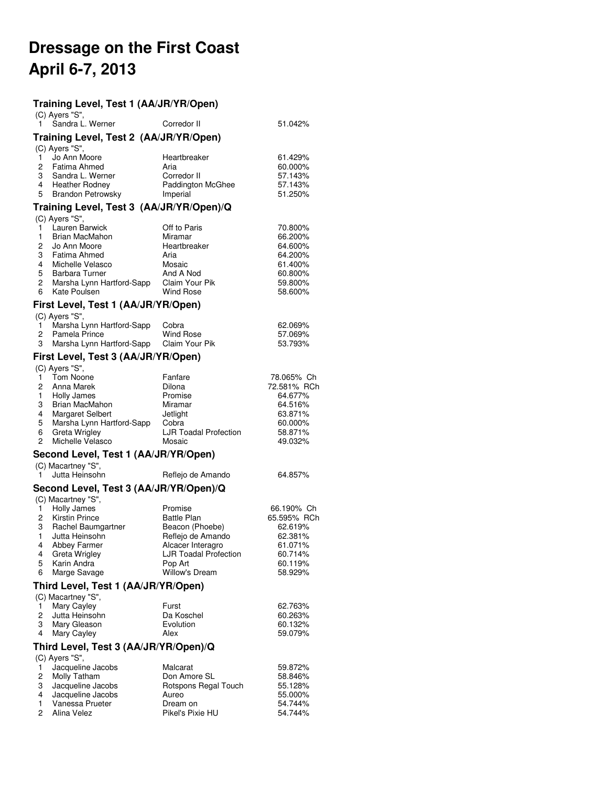# **Dressage on the First Coast April 6-7, 2013**

# **Training Level, Test 1 (AA/JR/YR/Open)**

| (C) Ayers "S",                                                                                                   | $\frac{1}{2}$ Cevel, rest r (AA/Un/Th/Open) |                                                          |                                          |
|------------------------------------------------------------------------------------------------------------------|---------------------------------------------|----------------------------------------------------------|------------------------------------------|
| Sandra L. Werner                                                                                                 |                                             | Corredor II                                              | 51.042%                                  |
|                                                                                                                  | Training Level, Test 2 (AA/JR/YR/Open)      |                                                          |                                          |
| (C) Ayers "S",<br>Jo Ann Moore<br>1.<br>2<br>Fatima Ahmed<br>Sandra L. Werner<br>3<br>4<br><b>Heather Rodney</b> |                                             | Heartbreaker<br>Aria<br>Corredor II<br>Paddington McGhee | 61.429%<br>60.000%<br>57.143%<br>57.143% |
| 5                                                                                                                | Brandon Petrowsky                           | Imperial                                                 | 51.250%                                  |
|                                                                                                                  |                                             | Training Level, Test 3 (AA/JR/YR/Open)/Q                 |                                          |
| (C) Ayers "S",<br>Lauren Barwick<br>1.                                                                           |                                             | Off to Paris                                             | 70.800%                                  |
| 1<br>Brian MacMahon                                                                                              |                                             | Miramar                                                  | 66.200%                                  |
| 2<br>Jo Ann Moore                                                                                                |                                             | Heartbreaker                                             | 64.600%                                  |
| 3<br>Fatima Ahmed<br>4<br>Michelle Velasco                                                                       |                                             | Aria<br>Mosaic                                           | 64.200%<br>61.400%                       |
| 5<br>Barbara Turner                                                                                              |                                             | And A Nod                                                | 60.800%                                  |
| 2                                                                                                                | Marsha Lynn Hartford-Sapp                   | Claim Your Pik                                           | 59.800%                                  |
| 6<br>Kate Poulsen                                                                                                |                                             | <b>Wind Rose</b>                                         | 58.600%                                  |
|                                                                                                                  | First Level, Test 1 (AA/JR/YR/Open)         |                                                          |                                          |
| (C) Ayers "S",<br>1.                                                                                             | Marsha Lynn Hartford-Sapp                   | Cobra                                                    | 62.069%                                  |
| 2<br>Pamela Prince                                                                                               |                                             | <b>Wind Rose</b>                                         | 57.069%                                  |
| 3                                                                                                                | Marsha Lynn Hartford-Sapp                   | Claim Your Pik                                           | 53.793%                                  |
|                                                                                                                  | First Level, Test 3 (AA/JR/YR/Open)         |                                                          |                                          |
| (C) Ayers "S",                                                                                                   |                                             |                                                          |                                          |
| Tom Noone<br>1.<br>2<br>Anna Marek                                                                               |                                             | Fanfare<br>Dilona                                        | 78.065% Ch<br>72.581% RCh                |
| 1.<br>Holly James                                                                                                |                                             | Promise                                                  | 64.677%                                  |
| 3<br>Brian MacMahon                                                                                              |                                             | Miramar                                                  | 64.516%                                  |
| 4<br>Margaret Selbert                                                                                            |                                             | Jetlight                                                 | 63.871%                                  |
| 5<br>6<br>Greta Wrigley                                                                                          | Marsha Lynn Hartford-Sapp                   | Cobra<br><b>LJR Toadal Profection</b>                    | 60.000%<br>58.871%                       |
| Michelle Velasco<br>2                                                                                            |                                             | Mosaic                                                   | 49.032%                                  |
|                                                                                                                  | Second Level, Test 1 (AA/JR/YR/Open)        |                                                          |                                          |
| (C) Macartney "S",                                                                                               |                                             |                                                          |                                          |
| Jutta Heinsohn<br>1                                                                                              |                                             | Reflejo de Amando                                        | 64.857%                                  |
|                                                                                                                  |                                             | Second Level, Test 3 (AA/JR/YR/Open)/Q                   |                                          |
| (C) Macartney "S",<br>Holly James<br>1                                                                           |                                             | Promise                                                  | 66.190% Ch                               |
| 2<br><b>Kirstin Prince</b>                                                                                       |                                             | <b>Battle Plan</b>                                       | 65.595% RCh                              |
| 3<br>Rachel Baumgartner                                                                                          |                                             | Beacon (Phoebe)                                          | 62.619%                                  |
| 1<br>Jutta Heinsohn<br>4                                                                                         |                                             | Reflejo de Amando                                        | 62.381%                                  |
| Abbey Farmer<br>Greta Wrigley<br>4                                                                               |                                             | Alcacer Interagro<br><b>LJR Toadal Profection</b>        | 61.071%<br>60.714%                       |
| 5<br>Karin Andra                                                                                                 |                                             | Pop Art                                                  | 60.119%                                  |
| Marge Savage<br>6                                                                                                |                                             | <b>Willow's Dream</b>                                    | 58.929%                                  |
|                                                                                                                  | Third Level, Test 1 (AA/JR/YR/Open)         |                                                          |                                          |
| (C) Macartney "S",                                                                                               |                                             |                                                          |                                          |
| Mary Cayley<br>1<br>2<br>Jutta Heinsohn                                                                          |                                             | Furst<br>Da Koschel                                      | 62.763%<br>60.263%                       |
| 3<br>Mary Gleason                                                                                                |                                             | Evolution                                                | 60.132%                                  |
| 4<br>Mary Cayley                                                                                                 |                                             | Alex                                                     | 59.079%                                  |
|                                                                                                                  | Third Level, Test 3 (AA/JR/YR/Open)/Q       |                                                          |                                          |
| (C) Ayers "S",                                                                                                   |                                             |                                                          |                                          |
| 1<br>Jacqueline Jacobs<br>2<br>Molly Tatham                                                                      |                                             | Malcarat<br>Don Amore SL                                 | 59.872%<br>58.846%                       |
| 3<br>Jacqueline Jacobs                                                                                           |                                             | Rotspons Regal Touch                                     | 55.128%                                  |
| Jacqueline Jacobs<br>4                                                                                           |                                             | Aureo                                                    | 55.000%                                  |
| Vanessa Prueter<br>1                                                                                             |                                             | Dream on                                                 | 54.744%                                  |
| 2<br>Alina Velez                                                                                                 |                                             | Pikel's Pixie HU                                         | 54.744%                                  |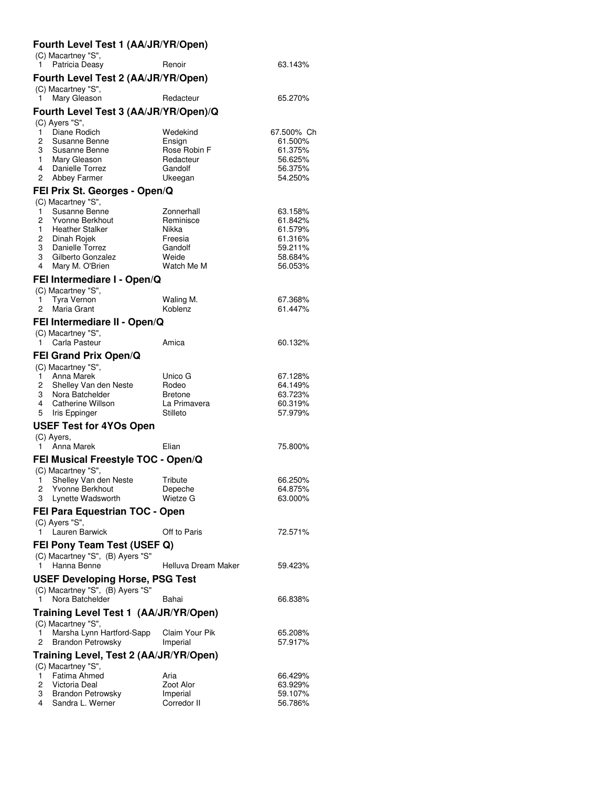# **Fourth Level Test 1 (AA/JR/YR/Open)**

|                | (C) Macartney "S",                                              |                         |                    |
|----------------|-----------------------------------------------------------------|-------------------------|--------------------|
| 1.             | Patricia Deasy                                                  | Renoir                  | 63.143%            |
|                | Fourth Level Test 2 (AA/JR/YR/Open)                             |                         |                    |
|                | (C) Macartney "S",                                              |                         |                    |
| 1              | Mary Gleason                                                    | Redacteur               | 65.270%            |
|                | Fourth Level Test 3 (AA/JR/YR/Open)/Q                           |                         |                    |
| 1              | (C) Ayers "S",<br>Diane Rodich                                  | Wedekind                | 67.500% Ch         |
| 2              | Susanne Benne                                                   | Ensign                  | 61.500%            |
| 3              | Susanne Benne                                                   | Rose Robin F            | 61.375%            |
| $1 \quad$<br>4 | Mary Gleason<br>Danielle Torrez                                 | Redacteur<br>Gandolf    | 56.625%<br>56.375% |
| 2              | Abbey Farmer                                                    | Ukeegan                 | 54.250%            |
|                | FEI Prix St. Georges - Open/Q                                   |                         |                    |
|                | (C) Macartney "S",                                              |                         |                    |
| 1              | Susanne Benne                                                   | Zonnerhall              | 63.158%            |
| 2<br>1.        | Yvonne Berkhout<br><b>Heather Stalker</b>                       | Reminisce<br>Nikka      | 61.842%<br>61.579% |
| 2              | Dinah Rojek                                                     | Freesia                 | 61.316%            |
| 3              | Danielle Torrez                                                 | Gandolf                 | 59.211%            |
| 3              | Gilberto Gonzalez                                               | Weide                   | 58.684%            |
| 4              | Mary M. O'Brien                                                 | Watch Me M              | 56.053%            |
|                | FEI Intermediare I - Open/Q                                     |                         |                    |
| 1              | (C) Macartney "S",<br>Tyra Vernon                               | Waling M.               | 67.368%            |
| 2              | Maria Grant                                                     | Koblenz                 | 61.447%            |
|                | FEI Intermediare II - Open/Q                                    |                         |                    |
|                | (C) Macartney "S",                                              |                         |                    |
| 1              | Carla Pasteur                                                   | Amica                   | 60.132%            |
|                | <b>FEI Grand Prix Open/Q</b>                                    |                         |                    |
|                | (C) Macartney "S",                                              |                         |                    |
| 1.<br>2        | Anna Marek                                                      | Unico G                 | 67.128%            |
| 3              | Shelley Van den Neste<br>Nora Batchelder                        | Rodeo<br><b>Bretone</b> | 64.149%<br>63.723% |
| 4              | Catherine Willson                                               | La Primavera            | 60.319%            |
| 5              | Iris Eppinger                                                   | Stilleto                | 57.979%            |
|                | <b>USEF Test for 4YOs Open</b>                                  |                         |                    |
|                | (C) Ayers,                                                      |                         |                    |
| 1.             | Anna Marek                                                      | Elian                   | 75.800%            |
|                | FEI Musical Freestyle TOC - Open/Q<br>(C) Macartney "S",        |                         |                    |
| 1              | Shelley Van den Neste                                           | Tribute                 | 66.250%            |
| 2              | Yvonne Berkhout                                                 | Depeche                 | 64.875%            |
| 3              | Lynette Wadsworth                                               | Wietze G                | 63.000%            |
|                | FEI Para Equestrian TOC - Open                                  |                         |                    |
| 1.             | (C) Ayers "S",<br>Lauren Barwick                                | Off to Paris            | 72.571%            |
|                |                                                                 |                         |                    |
|                | FEI Pony Team Test (USEF Q)<br>(C) Macartney "S", (B) Ayers "S" |                         |                    |
| 1.             | Hanna Benne                                                     | Helluva Dream Maker     | 59.423%            |
|                | <b>USEF Developing Horse, PSG Test</b>                          |                         |                    |
|                | (C) Macartney "S", (B) Ayers "S"                                |                         |                    |
| 1              | Nora Batchelder                                                 | Bahai                   | 66.838%            |
|                | Training Level Test 1 (AA/JR/YR/Open)                           |                         |                    |
| 1              | (C) Macartney "S",<br>Marsha Lynn Hartford-Sapp                 | Claim Your Pik          | 65.208%            |
| 2              | <b>Brandon Petrowsky</b>                                        | Imperial                | 57.917%            |
|                | Training Level, Test 2 (AA/JR/YR/Open)                          |                         |                    |
|                | (C) Macartney "S",                                              |                         |                    |
| 1              | Fatima Ahmed                                                    | Aria                    | 66.429%            |
| 2              | Victoria Deal                                                   | Zoot Alor               | 63.929%            |
| 3              | <b>Brandon Petrowsky</b>                                        | Imperial                | 59.107%            |
| 4              | Sandra L. Werner                                                | Corredor II             | 56.786%            |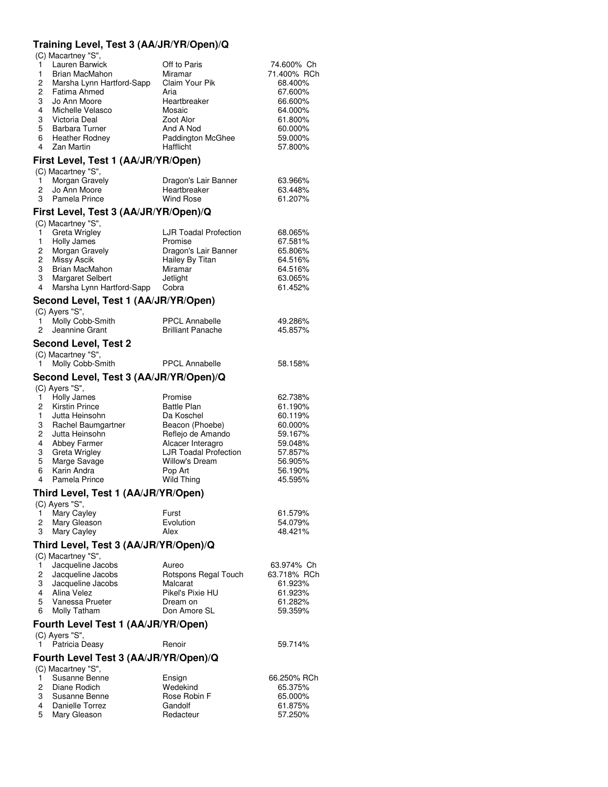# **Training Level, Test 3 (AA/JR/YR/Open)/Q**

(C) Macartney "S",

|   | Lauren Barwick            | Off to Paris      | 74.600% Ch  |
|---|---------------------------|-------------------|-------------|
| 1 | Brian MacMahon            | Miramar           | 71.400% RCh |
| 2 | Marsha Lynn Hartford-Sapp | Claim Your Pik    | 68.400%     |
| 2 | Fatima Ahmed              | Aria              | 67.600%     |
| 3 | Jo Ann Moore              | Heartbreaker      | 66.600%     |
| 4 | Michelle Velasco          | Mosaic            | 64.000%     |
| 3 | Victoria Deal             | Zoot Alor         | 61.800%     |
| 5 | <b>Barbara Turner</b>     | And A Nod         | 60.000%     |
| 6 | <b>Heather Rodney</b>     | Paddington McGhee | 59.000%     |
| 4 | Zan Martin                | <b>Hafflicht</b>  | 57.800%     |

#### **First Level, Test 1 (AA/JR/YR/Open)**

| (C) Macartney "S",             |                      |         |
|--------------------------------|----------------------|---------|
| 1 Morgan Gravely               | Dragon's Lair Banner | 63.966% |
| 2 Jo Ann Moore                 | Heartbreaker         | 63.448% |
| Pamela Prince<br>$\mathcal{B}$ | Wind Rose            | 61.207% |
|                                |                      |         |

#### **First Level, Test 3 (AA/JR/YR/Open)/Q**

| (C) Macartney "S".        |                              |         |
|---------------------------|------------------------------|---------|
| <b>Greta Wrigley</b>      | <b>LJR Toadal Profection</b> | 68.065% |
| Holly James               | Promise                      | 67.581% |
| Morgan Gravely            | Dragon's Lair Banner         | 65.806% |
| Missy Ascik               | Hailey By Titan              | 64.516% |
| <b>Brian MacMahon</b>     | Miramar                      | 64.516% |
| Margaret Selbert          | Jetlight                     | 63.065% |
| Marsha Lynn Hartford-Sapp | Cobra                        | 61.452% |

#### **Second Level, Test 1 (AA/JR/YR/Open)** (C) Ayers "S",

| . | Molly Cobb-Smith | <b>PPCL Annabelle</b>    | 49.286% |
|---|------------------|--------------------------|---------|
|   | 2 Jeannine Grant | <b>Brilliant Panache</b> | 45.857% |

# **Second Level, Test 2**

| (C) Macartney "S", |                       |         |
|--------------------|-----------------------|---------|
| Molly Cobb-Smith   | <b>PPCL Annabelle</b> | 58.158% |

#### **Second Level, Test 3 (AA/JR/YR/Open)/Q**  $($ C) Ayare "S"

|   | $(U)$ Ayers $S$ ,    |                              |         |
|---|----------------------|------------------------------|---------|
|   | Holly James          | Promise                      | 62.738% |
| 2 | Kirstin Prince       | <b>Battle Plan</b>           | 61.190% |
|   | Jutta Heinsohn       | Da Koschel                   | 60.119% |
| 3 | Rachel Baumgartner   | Beacon (Phoebe)              | 60.000% |
| 2 | Jutta Heinsohn       | Reflejo de Amando            | 59.167% |
| 4 | Abbey Farmer         | Alcacer Interagro            | 59.048% |
| 3 | <b>Greta Wrigley</b> | <b>LJR Toadal Profection</b> | 57.857% |
| 5 | Marge Savage         | <b>Willow's Dream</b>        | 56.905% |
| 6 | Karin Andra          | Pop Art                      | 56.190% |
| 4 | Pamela Prince        | <b>Wild Thing</b>            | 45.595% |
|   |                      |                              |         |

#### **Third Level, Test 1 (AA/JR/YR/Open)**

| (C) Ayers "S", |           |         |
|----------------|-----------|---------|
| Mary Cayley    | Furst     | 61.579% |
| 2 Mary Gleason | Evolution | 54.079% |
| 3 Mary Cayley  | Alex      | 48.421% |
|                |           |         |

# **Third Level, Test 3 (AA/JR/YR/Open)/Q**

(C) Macartney "S",

|                                                                                                                                             | Jacqueline Jacobs   | Aureo                | 63.974% Ch  |  |
|---------------------------------------------------------------------------------------------------------------------------------------------|---------------------|----------------------|-------------|--|
|                                                                                                                                             | 2 Jacqueline Jacobs | Rotspons Regal Touch | 63.718% RCh |  |
|                                                                                                                                             | 3 Jacqueline Jacobs | Malcarat             | 61.923%     |  |
|                                                                                                                                             | Alina Velez         | Pikel's Pixie HU     | 61.923%     |  |
| 5.                                                                                                                                          | Vanessa Prueter     | Dream on             | 61.282%     |  |
| 6.                                                                                                                                          | Molly Tatham        | Don Amore SL         | 59.359%     |  |
| $F_{\text{c}}$ $\ldots$ is a set $F_{\text{c}}$ and $F_{\text{c}}$ and $F_{\text{c}}$ is $F_{\text{c}}$ is $F_{\text{c}}$ in $F_{\text{c}}$ |                     |                      |             |  |

#### **Fourth Level Test 1 (AA/JR/YR/Open)**

| $(C)$ Ayers "S", |        |         |
|------------------|--------|---------|
| 1 Patricia Deasy | Renoir | 59.714% |

### **Fourth Level Test 3 (AA/JR/YR/Open)/Q**

| (C) Macartney "S". |              |             |
|--------------------|--------------|-------------|
| Susanne Benne      | Ensign       | 66.250% RCh |
| 2 Diane Rodich     | Wedekind     | 65.375%     |
| 3 Susanne Benne    | Rose Robin F | 65.000%     |
| Danielle Torrez    | Gandolf      | 61.875%     |
| 5 Mary Gleason     | Redacteur    | 57.250%     |